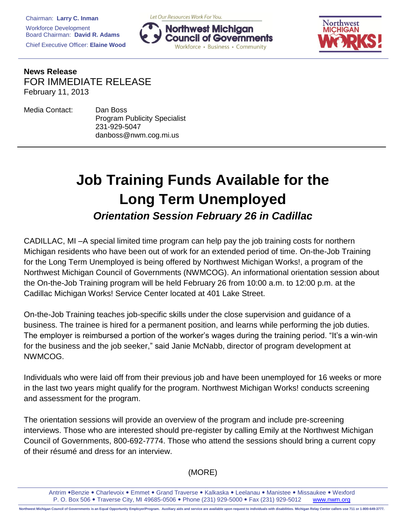Let Our Resources Work For You.





**News Release** FOR IMMEDIATE RELEASE February 11, 2013

| Media Contact: | Dan Boss                            |
|----------------|-------------------------------------|
|                | <b>Program Publicity Specialist</b> |
|                | 231-929-5047                        |
|                | danboss@nwm.cog.mi.us               |

## **Job Training Funds Available for the Long Term Unemployed** *Orientation Session February 26 in Cadillac*

CADILLAC, MI –A special limited time program can help pay the job training costs for northern Michigan residents who have been out of work for an extended period of time. On-the-Job Training for the Long Term Unemployed is being offered by Northwest Michigan Works!, a program of the Northwest Michigan Council of Governments (NWMCOG). An informational orientation session about the On-the-Job Training program will be held February 26 from 10:00 a.m. to 12:00 p.m. at the Cadillac Michigan Works! Service Center located at 401 Lake Street.

On-the-Job Training teaches job-specific skills under the close supervision and guidance of a business. The trainee is hired for a permanent position, and learns while performing the job duties. The employer is reimbursed a portion of the worker's wages during the training period. "It's a win-win for the business and the job seeker," said Janie McNabb, director of program development at NWMCOG.

Individuals who were laid off from their previous job and have been unemployed for 16 weeks or more in the last two years might qualify for the program. Northwest Michigan Works! conducts screening and assessment for the program.

The orientation sessions will provide an overview of the program and include pre-screening interviews. Those who are interested should pre-register by calling Emily at the Northwest Michigan Council of Governments, 800-692-7774. Those who attend the sessions should bring a current copy of their résumé and dress for an interview.

## (MORE)

Antrim • Benzie • Charlevoix • Emmet • Grand Traverse • Kalkaska • Leelanau • Manistee • Missaukee • Wexford P. O. Box 506 . Traverse City, MI 49685-0506 . Phone (231) 929-5000 . Fax (231) 929-5012 www.nwm.org

Northwest Michigan Council of Governments is an Equal Opportunity Employer/Program. Auxiliary aids and service are available upon request to individuals with disabilities. Michigan Relay Center callers use 711 or 1-800-649